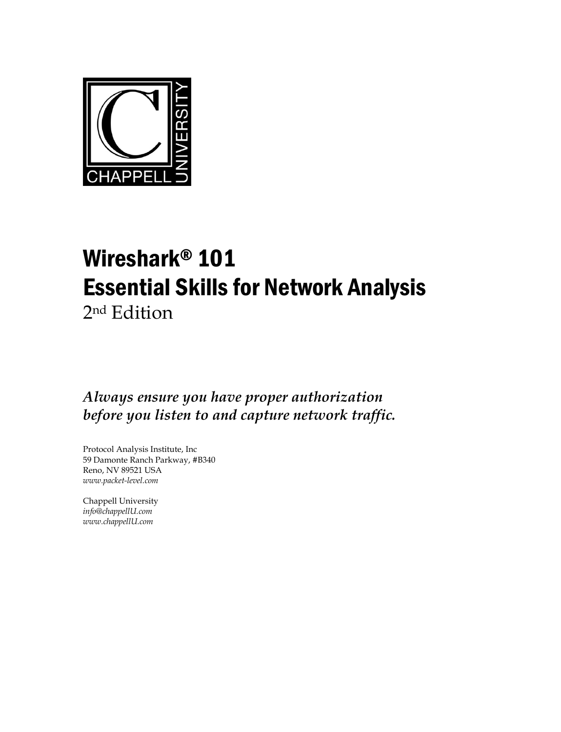

## Wireshark® 101 Essential Skills for Network Analysis

2nd Edition

*Always ensure you have proper authorization before you listen to and capture network traffic.* 

Protocol Analysis Institute, Inc 59 Damonte Ranch Parkway, #B340 Reno, NV 89521 USA *www.packet-level.com* 

Chappell University *info@chappellU.com www.chappellU.com*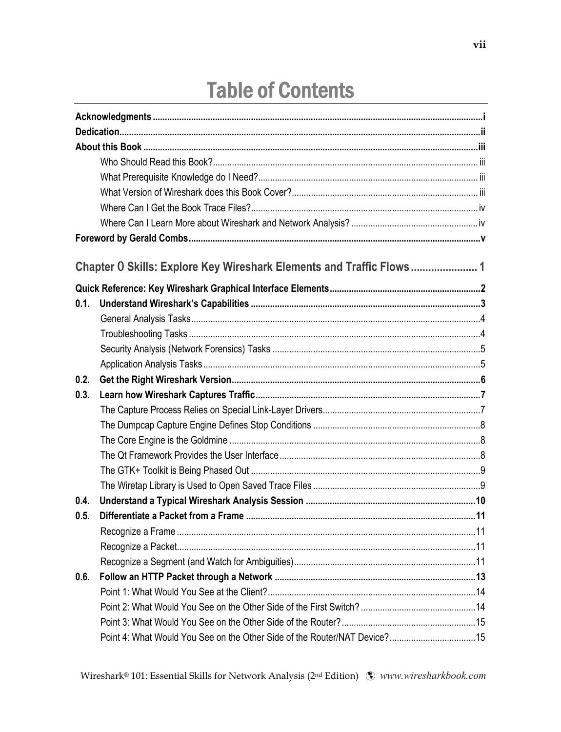## **Table of Contents**

|      | Chapter 0 Skills: Explore Key Wireshark Elements and Traffic Flows 1      |  |
|------|---------------------------------------------------------------------------|--|
|      |                                                                           |  |
| 0.1. |                                                                           |  |
|      |                                                                           |  |
|      |                                                                           |  |
|      |                                                                           |  |
|      |                                                                           |  |
| 0.2. |                                                                           |  |
| 0.3. |                                                                           |  |
|      |                                                                           |  |
|      |                                                                           |  |
|      |                                                                           |  |
|      |                                                                           |  |
|      |                                                                           |  |
|      |                                                                           |  |
| 0.4. |                                                                           |  |
| 0.5. |                                                                           |  |
|      |                                                                           |  |
|      |                                                                           |  |
|      |                                                                           |  |
| 0.6. |                                                                           |  |
|      |                                                                           |  |
|      |                                                                           |  |
|      |                                                                           |  |
|      | Point 4: What Would You See on the Other Side of the Router/NAT Device?15 |  |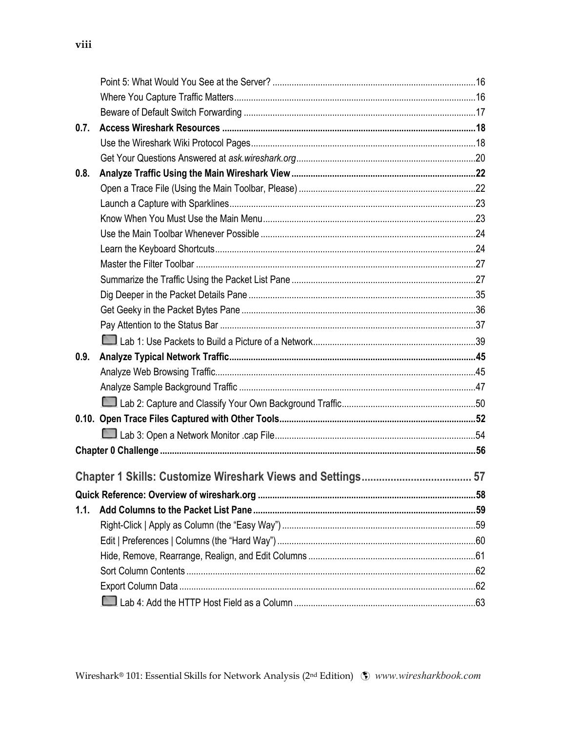| 0.7. |  |
|------|--|
|      |  |
|      |  |
| 0.8. |  |
|      |  |
|      |  |
|      |  |
|      |  |
|      |  |
|      |  |
|      |  |
|      |  |
|      |  |
|      |  |
|      |  |
| 0.9. |  |
|      |  |
|      |  |
|      |  |
|      |  |
|      |  |
|      |  |
|      |  |
|      |  |
|      |  |
| 1.1. |  |
|      |  |
|      |  |
|      |  |
|      |  |
|      |  |
|      |  |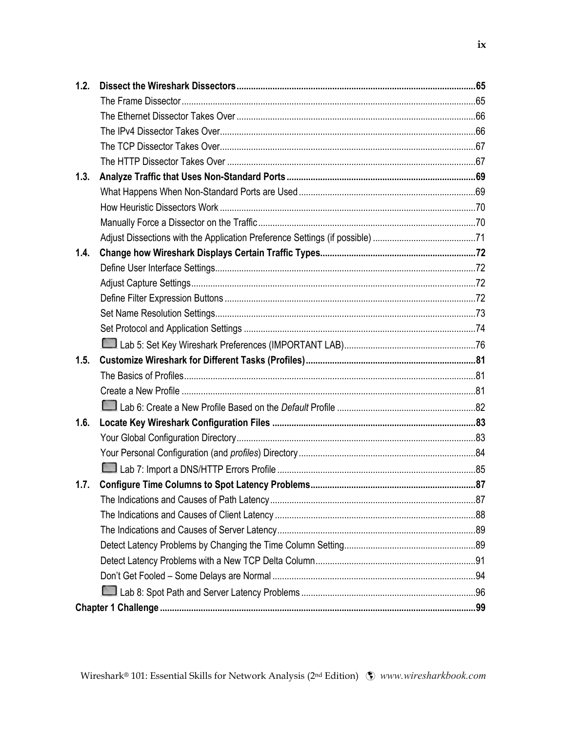| 1.2. |  |
|------|--|
|      |  |
|      |  |
|      |  |
|      |  |
|      |  |
| 1.3. |  |
|      |  |
|      |  |
|      |  |
|      |  |
| 1.4. |  |
|      |  |
|      |  |
|      |  |
|      |  |
|      |  |
|      |  |
| 1.5. |  |
|      |  |
|      |  |
|      |  |
| 1.6. |  |
|      |  |
|      |  |
|      |  |
| 1.7. |  |
|      |  |
|      |  |
|      |  |
|      |  |
|      |  |
|      |  |
|      |  |
|      |  |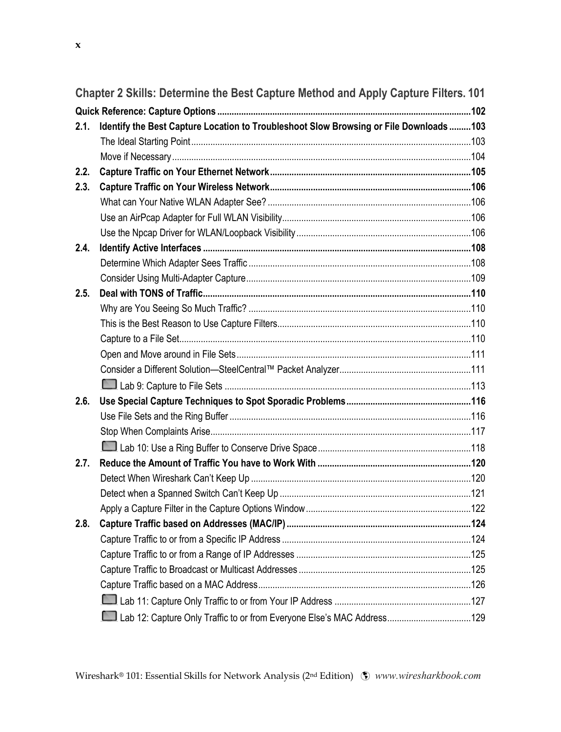|      | Chapter 2 Skills: Determine the Best Capture Method and Apply Capture Filters. 101      |  |
|------|-----------------------------------------------------------------------------------------|--|
|      |                                                                                         |  |
| 2.1. | Identify the Best Capture Location to Troubleshoot Slow Browsing or File Downloads  103 |  |
|      |                                                                                         |  |
|      |                                                                                         |  |
| 2.2. |                                                                                         |  |
| 2.3. |                                                                                         |  |
|      |                                                                                         |  |
|      |                                                                                         |  |
|      |                                                                                         |  |
| 2.4. |                                                                                         |  |
|      |                                                                                         |  |
|      |                                                                                         |  |
| 2.5. |                                                                                         |  |
|      |                                                                                         |  |
|      |                                                                                         |  |
|      |                                                                                         |  |
|      |                                                                                         |  |
|      |                                                                                         |  |

| 2.6. |  |
|------|--|
|      |  |
|      |  |
|      |  |
| 2.7. |  |
|      |  |
|      |  |
|      |  |
| 2.8. |  |
|      |  |
|      |  |
|      |  |
|      |  |
|      |  |

Lab 12: Capture Only Traffic to or from Everyone Else's MAC Address ................................... 129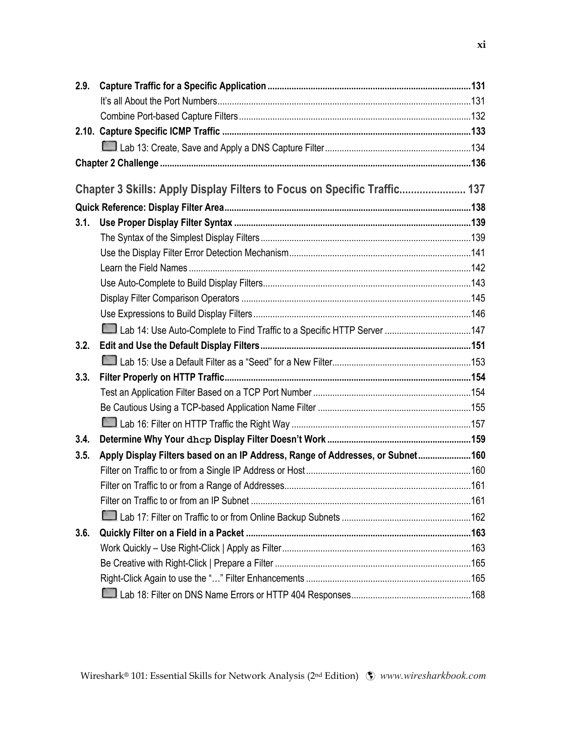| 2.9. |                                                                                |  |
|------|--------------------------------------------------------------------------------|--|
|      |                                                                                |  |
|      |                                                                                |  |
|      |                                                                                |  |
|      |                                                                                |  |
|      |                                                                                |  |
|      |                                                                                |  |
|      | Chapter 3 Skills: Apply Display Filters to Focus on Specific Traffic 137       |  |
|      |                                                                                |  |
| 3.1. |                                                                                |  |
|      |                                                                                |  |
|      |                                                                                |  |
|      |                                                                                |  |
|      |                                                                                |  |
|      |                                                                                |  |
|      |                                                                                |  |
|      |                                                                                |  |
| 3.2. |                                                                                |  |
|      |                                                                                |  |
| 3.3. |                                                                                |  |
|      |                                                                                |  |
|      |                                                                                |  |
|      |                                                                                |  |
| 3.4. |                                                                                |  |
| 3.5. | Apply Display Filters based on an IP Address, Range of Addresses, or Subnet160 |  |
|      |                                                                                |  |
|      |                                                                                |  |
|      |                                                                                |  |
|      |                                                                                |  |
| 3.6. |                                                                                |  |
|      |                                                                                |  |
|      |                                                                                |  |
|      |                                                                                |  |
|      |                                                                                |  |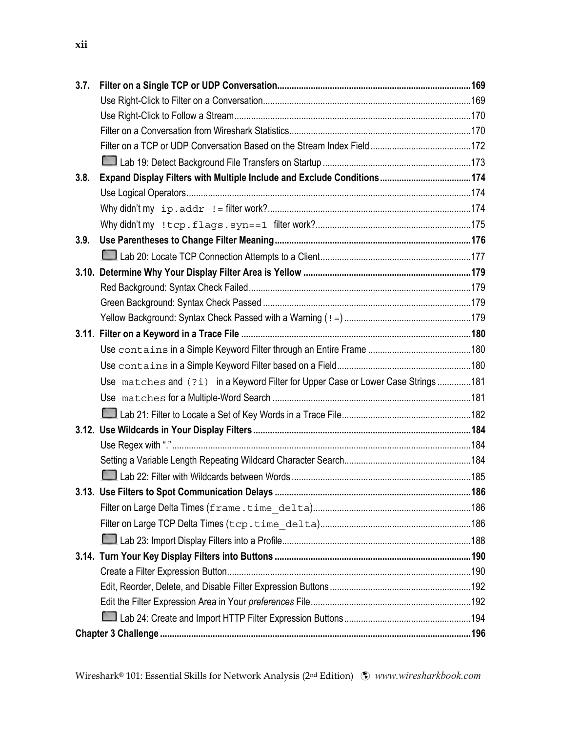| 3.7. |                                                                                  |  |
|------|----------------------------------------------------------------------------------|--|
|      |                                                                                  |  |
|      |                                                                                  |  |
|      |                                                                                  |  |
|      |                                                                                  |  |
|      |                                                                                  |  |
| 3.8. |                                                                                  |  |
|      |                                                                                  |  |
|      |                                                                                  |  |
|      |                                                                                  |  |
| 3.9. |                                                                                  |  |
|      |                                                                                  |  |
|      |                                                                                  |  |
|      |                                                                                  |  |
|      |                                                                                  |  |
|      |                                                                                  |  |
|      |                                                                                  |  |
|      |                                                                                  |  |
|      |                                                                                  |  |
|      | Use matches and (?i) in a Keyword Filter for Upper Case or Lower Case Strings181 |  |
|      |                                                                                  |  |
|      |                                                                                  |  |
|      |                                                                                  |  |
|      |                                                                                  |  |
|      |                                                                                  |  |
|      |                                                                                  |  |
|      |                                                                                  |  |
|      |                                                                                  |  |
|      |                                                                                  |  |
|      |                                                                                  |  |
|      |                                                                                  |  |
|      |                                                                                  |  |
|      |                                                                                  |  |
|      |                                                                                  |  |
|      |                                                                                  |  |
|      |                                                                                  |  |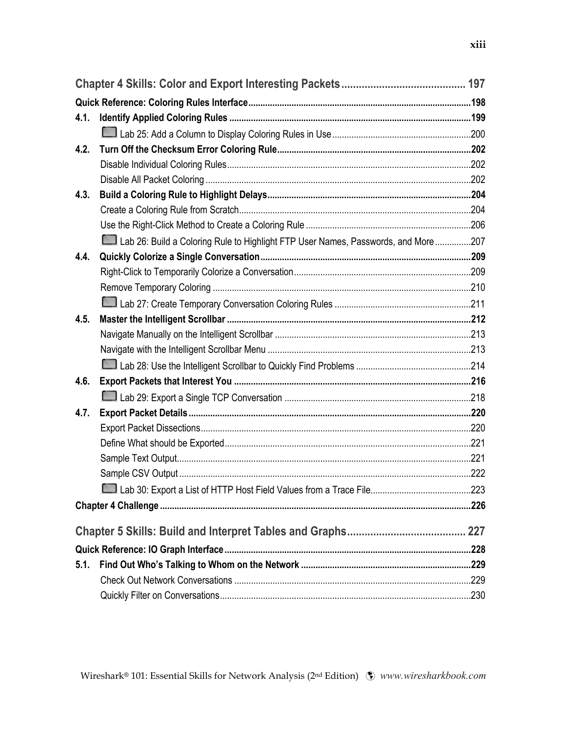| 4.1. |                                                                                   |  |
|------|-----------------------------------------------------------------------------------|--|
|      |                                                                                   |  |
| 4.2. |                                                                                   |  |
|      |                                                                                   |  |
|      |                                                                                   |  |
| 4.3. |                                                                                   |  |
|      |                                                                                   |  |
|      |                                                                                   |  |
|      | Lab 26: Build a Coloring Rule to Highlight FTP User Names, Passwords, and More207 |  |
| 4.4. |                                                                                   |  |
|      |                                                                                   |  |
|      |                                                                                   |  |
|      |                                                                                   |  |
| 4.5. |                                                                                   |  |
|      |                                                                                   |  |
|      |                                                                                   |  |
|      |                                                                                   |  |
| 4.6. |                                                                                   |  |
|      |                                                                                   |  |
| 4.7. |                                                                                   |  |
|      |                                                                                   |  |
|      |                                                                                   |  |
|      |                                                                                   |  |
|      |                                                                                   |  |
|      |                                                                                   |  |
|      |                                                                                   |  |
|      |                                                                                   |  |
|      |                                                                                   |  |
| 5.1. |                                                                                   |  |
|      |                                                                                   |  |
|      |                                                                                   |  |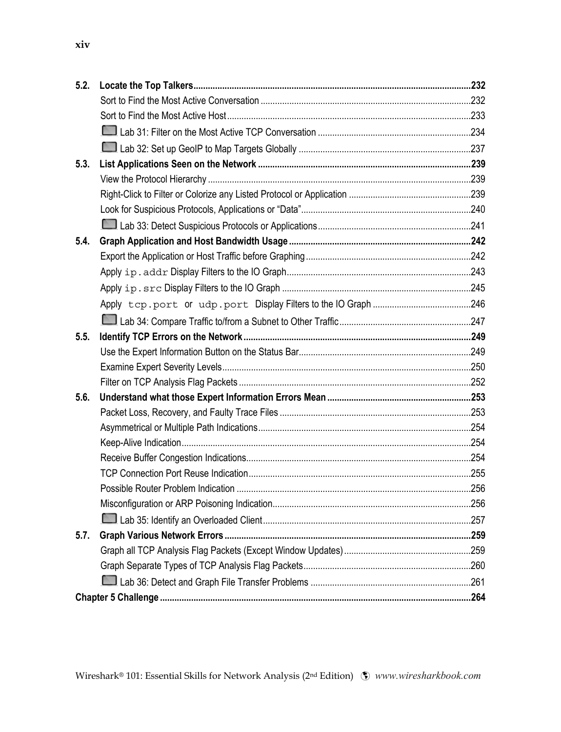| 5.2. |  |
|------|--|
|      |  |
|      |  |
|      |  |
|      |  |
| 5.3. |  |
|      |  |
|      |  |
|      |  |
|      |  |
| 5.4. |  |
|      |  |
|      |  |
|      |  |
|      |  |
|      |  |
| 5.5. |  |
|      |  |
|      |  |
|      |  |
| 5.6. |  |
|      |  |
|      |  |
|      |  |
|      |  |
|      |  |
|      |  |
|      |  |
|      |  |
| 5.7. |  |
|      |  |
|      |  |
|      |  |
|      |  |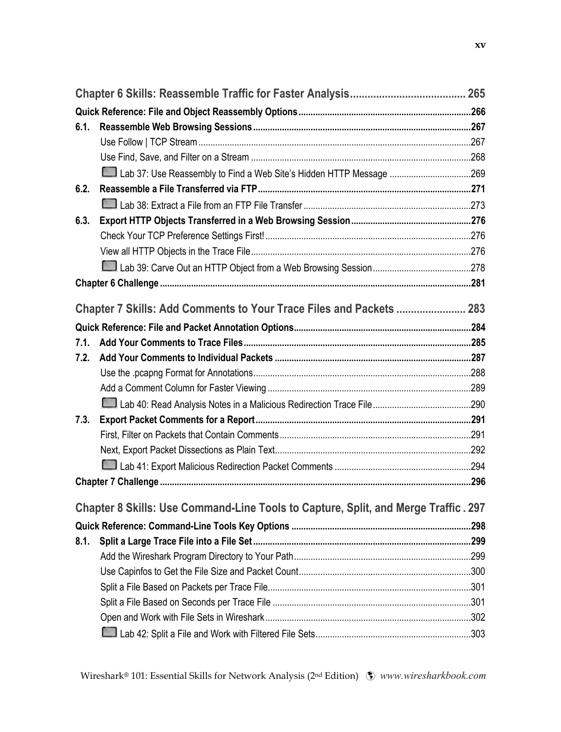| 6.1. |                                                                                    |  |
|------|------------------------------------------------------------------------------------|--|
|      |                                                                                    |  |
|      |                                                                                    |  |
|      |                                                                                    |  |
| 6.2. |                                                                                    |  |
|      |                                                                                    |  |
| 6.3. |                                                                                    |  |
|      |                                                                                    |  |
|      |                                                                                    |  |
|      |                                                                                    |  |
|      |                                                                                    |  |
|      |                                                                                    |  |
|      | Chapter 7 Skills: Add Comments to Your Trace Files and Packets  283                |  |
|      |                                                                                    |  |
| 7.1. |                                                                                    |  |
| 7.2. |                                                                                    |  |
|      |                                                                                    |  |
|      |                                                                                    |  |
|      |                                                                                    |  |
| 7.3. |                                                                                    |  |
|      |                                                                                    |  |
|      |                                                                                    |  |
|      |                                                                                    |  |
|      |                                                                                    |  |
|      |                                                                                    |  |
|      | Chapter 8 Skills: Use Command-Line Tools to Capture, Split, and Merge Traffic. 297 |  |
|      |                                                                                    |  |
| 8.1. |                                                                                    |  |
|      |                                                                                    |  |
|      |                                                                                    |  |
|      |                                                                                    |  |
|      |                                                                                    |  |
|      |                                                                                    |  |
|      |                                                                                    |  |